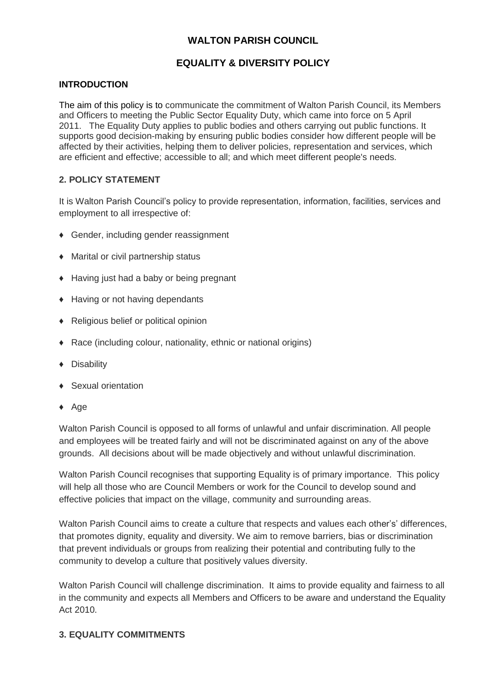## **WALTON PARISH COUNCIL**

# **EQUALITY & DIVERSITY POLICY**

### **INTRODUCTION**

The aim of this policy is to communicate the commitment of Walton Parish Council, its Members and Officers to meeting the Public Sector Equality Duty, which came into force on 5 April 2011. The Equality Duty applies to public bodies and others carrying out public functions. It supports good decision-making by ensuring public bodies consider how different people will be affected by their activities, helping them to deliver policies, representation and services, which are efficient and effective; accessible to all; and which meet different people's needs.

## **2. POLICY STATEMENT**

It is Walton Parish Council's policy to provide representation, information, facilities, services and employment to all irrespective of:

- ♦ Gender, including gender reassignment
- ♦ Marital or civil partnership status
- ♦ Having just had a baby or being pregnant
- ♦ Having or not having dependants
- ♦ Religious belief or political opinion
- ♦ Race (including colour, nationality, ethnic or national origins)
- ♦ Disability
- ♦ Sexual orientation
- ♦ Age

Walton Parish Council is opposed to all forms of unlawful and unfair discrimination. All people and employees will be treated fairly and will not be discriminated against on any of the above grounds. All decisions about will be made objectively and without unlawful discrimination.

Walton Parish Council recognises that supporting Equality is of primary importance. This policy will help all those who are Council Members or work for the Council to develop sound and effective policies that impact on the village, community and surrounding areas.

Walton Parish Council aims to create a culture that respects and values each other's' differences, that promotes dignity, equality and diversity. We aim to remove barriers, bias or discrimination that prevent individuals or groups from realizing their potential and contributing fully to the community to develop a culture that positively values diversity.

Walton Parish Council will challenge discrimination. It aims to provide equality and fairness to all in the community and expects all Members and Officers to be aware and understand the Equality Act 2010.

### **3. EQUALITY COMMITMENTS**